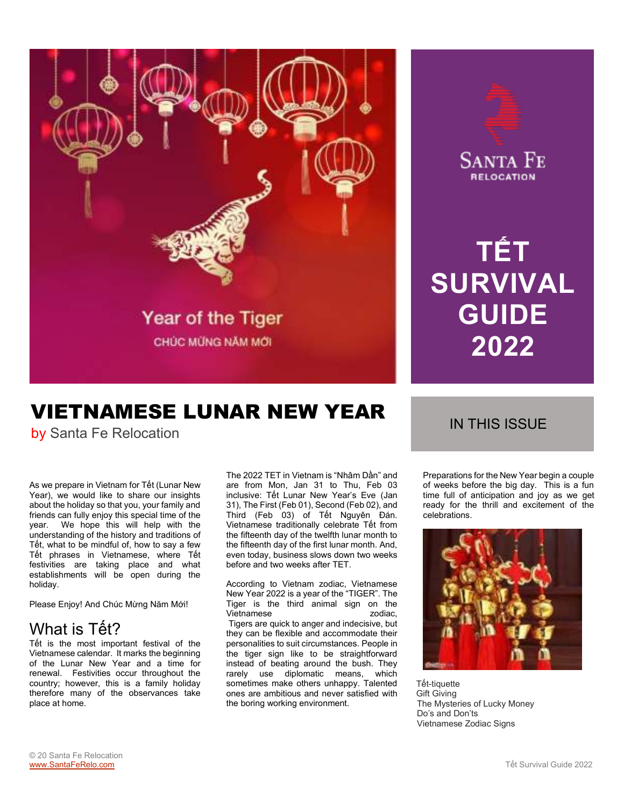

## VIETNAMESE LUNAR NEW YEAR by Santa Fe Relocation<br>by Santa Fe Relocation

As we prepare in Vietnam for Tết (Lunar New Year), we would like to share our insights about the holiday so that you, your family and friends can fully enjoy this special time of the year. We hope this will help with the understanding of the history and traditions of Tết, what to be mindful of, how to say a few Tết phrases in Vietnamese, where Tết festivities are taking place and what establishments will be open during the holiday.

Please Enjoy! And Chúc Mừng Năm Mới!

## What is Tết?

Tết is the most important festival of the Vietnamese calendar. It marks the beginning of the Lunar New Year and a time for renewal. Festivities occur throughout the country; however, this is a family holiday therefore many of the observances take place at home.

The 2022 TET in Vietnam is "Nhâm Dần" and are from Mon, Jan 31 to Thu, Feb 03 inclusive: Tết Lunar New Year's Eve (Jan 31), The First (Feb 01), Second (Feb 02), and Third (Feb 03) of Tết Nguyên Đán. Vietnamese traditionally celebrate Tết from the fifteenth day of the twelfth lunar month to the fifteenth day of the first lunar month. And, even today, business slows down two weeks before and two weeks after TET.

According to Vietnam zodiac, Vietnamese New Year 2022 is a year of the "TIGER". The Tiger is the third animal sign on the<br>Vietnamese and animal sign on the Vietnamese Tigers are quick to anger and indecisive, but they can be flexible and accommodate their personalities to suit circumstances. People in the tiger sign like to be straightforward instead of beating around the bush. They rarely use diplomatic means, which sometimes make others unhappy. Talented ones are ambitious and never satisfied with the boring working environment.



**TẾT** 

**SANTA FE RELOCATION** 

**SURVIVAL** 

**GUIDE** 

**2022** 

Preparations for the New Year begin a couple of weeks before the big day. This is a fun time full of anticipation and joy as we get ready for the thrill and excitement of the celebrations.



 Tết-tiquette Gift Giving The Mysteries of Lucky Money Do's and Don'ts Vietnamese Zodiac Signs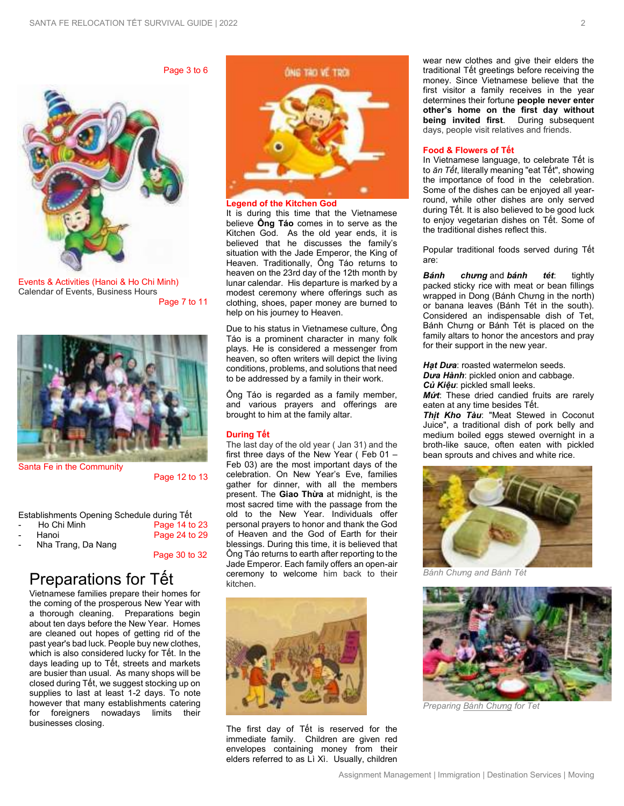Page 3 to 6



Events & Activities (Hanoi & Ho Chi Minh) Calendar of Events, Business Hours Page 7 to 11



Santa Fe in the Community

Page 12 to 13

Page 30 to 32

|  | Establishments Opening Schedule during Têt |  |
|--|--------------------------------------------|--|
|  |                                            |  |

| $\overline{\phantom{a}}$ | Ho Chi Minh | Page 14 to 23 |
|--------------------------|-------------|---------------|
| $\sim$                   | Hanoi       | Page 24 to 29 |
|                          |             |               |

- Nha Trang, Da Nang

Preparations for Tết

Vietnamese families prepare their homes for the coming of the prosperous New Year with a thorough cleaning. Preparations begin about ten days before the New Year. Homes are cleaned out hopes of getting rid of the past year's bad luck. People buy new clothes, which is also considered lucky for Tết. In the days leading up to Tết, streets and markets are busier than usual. As many shops will be closed during Tết, we suggest stocking up on supplies to last at least 1-2 days. To note however that many establishments catering for foreigners nowadays limits their businesses closing.



It is during this time that the Vietnamese believe **Ông Táo** comes in to serve as the Kitchen God. As the old year ends, it is believed that he discusses the family's situation with the Jade Emperor, the King of Heaven. Traditionally, Ông Táo returns to heaven on the 23rd day of the 12th month by lunar calendar. His departure is marked by a modest ceremony where offerings such as clothing, shoes, paper money are burned to help on his journey to Heaven.

Due to his status in Vietnamese culture, Ông Táo is a prominent character in many folk plays. He is considered a messenger from heaven, so often writers will depict the living conditions, problems, and solutions that need to be addressed by a family in their work.

Ông Táo is regarded as a family member, and various prayers and offerings are brought to him at the family altar.

#### **During Tết**

The last day of the old year ( Jan 31) and the first three days of the New Year ( Feb 01 – Feb 03) are the most important days of the celebration. On New Year's Eve, families gather for dinner, with all the members present. The **Giao Thừa** at midnight, is the most sacred time with the passage from the old to the New Year. Individuals offer personal prayers to honor and thank the God of Heaven and the God of Earth for their blessings. During this time, it is believed that Ông Táo returns to earth after reporting to the Jade Emperor. Each family offers an open-air ceremony to welcome him back to their kitchen.



The first day of Tết is reserved for the immediate family. Children are given red envelopes containing money from their elders referred to as Lì Xì. Usually, children

wear new clothes and give their elders the traditional Tết greetings before receiving the money. Since Vietnamese believe that the first visitor a family receives in the year determines their fortune **people never enter other's home on the first day without being invited first**. During subsequent days, people visit relatives and friends.

#### **Food & Flowers of Tết**

In Vietnamese language, to celebrate Tết is to *ăn Tết*, literally meaning "eat Tết", showing the importance of food in the celebration. Some of the dishes can be enjoyed all yearround, while other dishes are only served during Tết. It is also believed to be good luck to enjoy vegetarian dishes on Tết. Some of the traditional dishes reflect this.

Popular traditional foods served during Tết are:

*[Bánh chưng](http://en.wikipedia.org/wiki/B%C3%A1nh_ch%C6%B0ng)* and *bánh tét*: tightly packed sticky rice with meat or bean fillings wrapped in Dong ([Bánh Chưng](http://en.wikipedia.org/wiki/B%C3%A1nh_ch%C6%B0ng) in the north) or banana leaves (Bánh Tét in the south). Considered an indispensable dish of Tet, Bánh Chưng or Bánh Tét is placed on the family altars to honor the ancestors and pray for their support in the new year.

Hat Dura: roaste[d watermelon](http://en.wikipedia.org/wiki/Watermelon) seeds. *Dưa Hành*: pickled onion and cabbage. *Củ Kiệu*: pickled [small leeks.](http://en.wikipedia.org/wiki/Allium_chinense)

*Mứt*: These dried candied fruits are rarely eaten at any time besides Tết.

*Thịt Kho Tàu*: "Meat Stewed in Coconut Juice", a traditional dish of pork belly and medium boiled eggs stewed overnight in a broth-like sauce, often eaten with pickled bean sprouts and chives and white rice.



*Bánh Chưng and Bánh Tét*



*Preparin[g Bánh C](http://en.wikipedia.org/wiki/B%C3%A1nh_ch%C6%B0ng)hưng for Tet*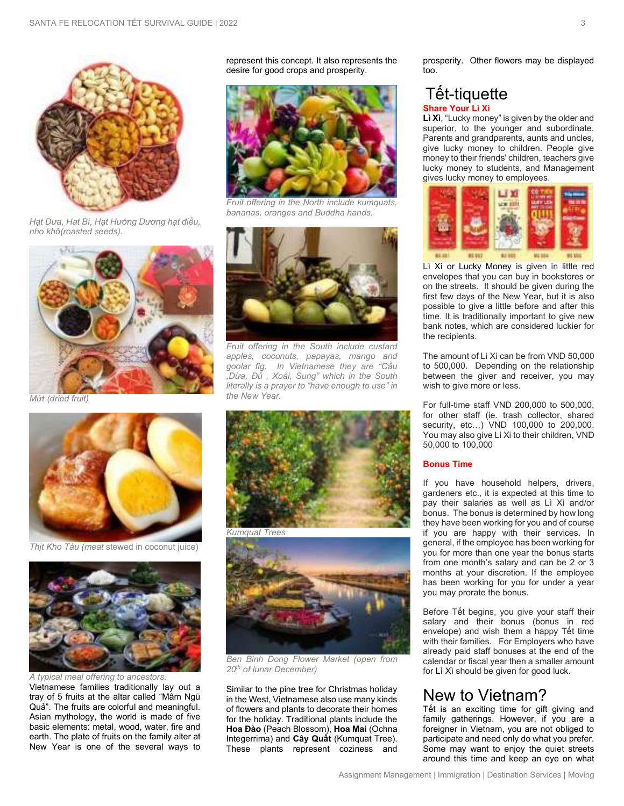

*Hạt Dưa, Hat Bí, Hạt Hướng Dương hạt điều, nho khô(roasted seeds).*



*Mứt (dried fruit)* 



*Thịt Kho Tàu (meat* stewed in coconut juice)



*A typical meal offering to ancestors.*

Vietnamese families traditionally lay out a tray of 5 fruits at the altar called "Mâm Ngũ Quả". The fruits are colorful and meaningful. Asian mythology, the world is made of five basic elements: metal, wood, water, fire and earth. The plate of fruits on the family alter at New Year is one of the several ways to represent this concept. It also represents the desire for good crops and prosperity.



*Fruit offering in the North include kumquats, bananas, oranges and Buddha hands.* 



*Fruit offering in the South include custard apples, coconuts, papayas, mango and goolar fig. In Vietnamese they are "Cầu ,Dừa, Đủ , Xoài, Sung" which in the South literally is a prayer to "have enough to use" in the New Year.* 



*Ben Binh Dong Flower Market (open from 20th of lunar December)* 

Similar to the pine tree for Christmas holiday in the West, Vietnamese also use many kinds of flowers and plants to decorate their homes for the holiday. Traditional plants include the **Hoa Đào** (Peach Blossom), **Hoa Mai** (Ochna Integerrima) and **Cây Quất** (Kumquat Tree). These plants represent coziness and

prosperity. Other flowers may be displayed too.

### Tết-tiquette **Share Your Lì Xì**

**Lì Xì**, "Lucky money" is given by the older and superior, to the younger and subordinate. Parents and grandparents, aunts and uncles, give lucky money to children. People give money to their friends' children, teachers give lucky money to students, and Management gives lucky money to employees.



Lì Xì or Lucky Money is given in little red envelopes that you can buy in bookstores or on the streets. It should be given during the first few days of the New Year, but it is also possible to give a little before and after this time. It is traditionally important to give new bank notes, which are considered luckier for the recipients.

The amount of Li Xi can be from VND 50,000 to 500,000. Depending on the relationship between the giver and receiver, you may wish to give more or less.

For full-time staff VND 200,000 to 500,000, for other staff (ie. trash collector, shared security, etc…) VND 100,000 to 200,000. You may also give Li Xi to their children, VND 50,000 to 100,000

#### **Bonus Time**

If you have household helpers, drivers, gardeners etc., it is expected at this time to pay their salaries as well as Lì Xì and/or bonus. The bonus is determined by how long they have been working for you and of course if you are happy with their services. In general, if the employee has been working for you for more than one year the bonus starts from one month's salary and can be 2 or 3 months at your discretion. If the employee has been working for you for under a year you may prorate the bonus.

Before Tết begins, you give your staff their salary and their bonus (bonus in red envelope) and wish them a happy Tết time with their families. For Employers who have already paid staff bonuses at the end of the calendar or fiscal year then a smaller amount for Lì Xì should be given for good luck.

## New to Vietnam?

Tết is an exciting time for gift giving and family gatherings. However, if you are a foreigner in Vietnam, you are not obliged to participate and need only do what you prefer. Some may want to enjoy the quiet streets around this time and keep an eye on what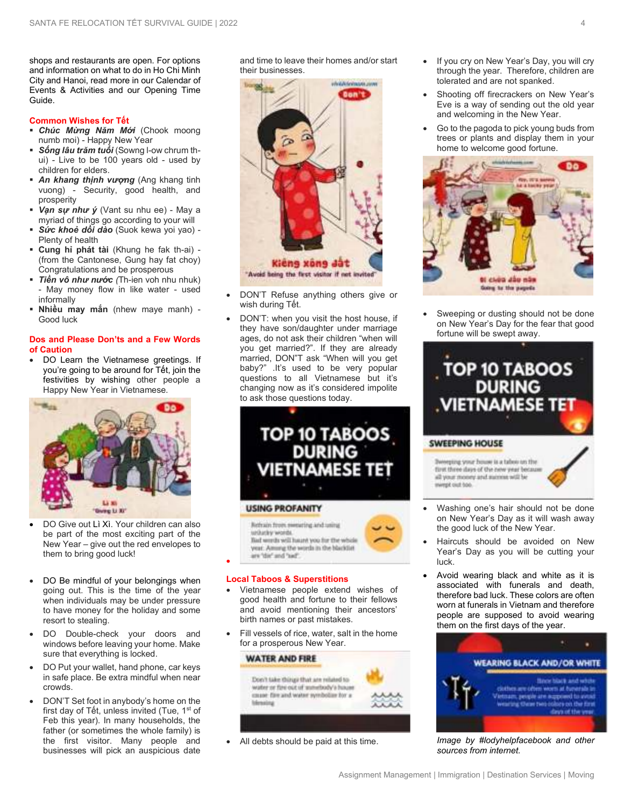shops and restaurants are open. For options and information on what to do in Ho Chi Minh City and Hanoi, read more in our Calendar of Events & Activities and our Opening Time Guide.

#### **Common Wishes for Tết**

- *Chúc Mừng Năm Mới* (Chook moong numb moi) - Happy New Year
- *Sống lâu trăm tuổi* (Sowng l-ow chrum thui) - Live to be 100 years old - used by children for elders.
- *An khang thịnh vượng* (Ang khang tinh vuong) - Security, good health, and prosperity
- *Vạn sự như ý* (Vant su nhu ee) May a myriad of things go according to your will
- *Sức khoẻ dồi dào* (Suok kewa yoi yao) Plenty of health
- **Cung hỉ phát tài** (Khung he fak th-ai) (from the Cantonese, Gung hay fat choy) Congratulations and be prosperous
- *Tiền vô như nước (*Th-ien voh nhu nhuk) May money flow in like water - used informally
- **Nhiều may mắn** (nhew maye manh) Good luck

#### **Dos and Please Don'ts and a Few Words of Caution**

• DO Learn the Vietnamese greetings. If you're going to be around for Tết, join the festivities by wishing other people a Happy New Year in Vietnamese.



- DO Give out Lì Xì. Your children can also be part of the most exciting part of the New Year – give out the red envelopes to them to bring good luck!
- DO Be mindful of your belongings when going out. This is the time of the year when individuals may be under pressure to have money for the holiday and some resort to stealing.
- DO Double-check your doors and windows before leaving your home. Make sure that everything is locked.
- DO Put your wallet, hand phone, car keys in safe place. Be extra mindful when near crowds.
- DON'T Set foot in anybody's home on the first day of Tết, unless invited (Tue, 1<sup>st</sup> of Feb this year). In many households, the father (or sometimes the whole family) is the first visitor. Many people and businesses will pick an auspicious date

and time to leave their homes and/or start their businesses.



- DON'T Refuse anything others give or wish during Tết.
- DON'T: when you visit the host house, if they have son/daughter under marriage ages, do not ask their children "when will you get married?". If they are already married, DON"T ask "When will you get baby?" .It's used to be very popular questions to all Vietnamese but it's changing now as it's considered impolite to ask those questions today.





#### **Local Taboos & Superstitions**

•

- Vietnamese people extend wishes of good health and fortune to their fellows and avoid mentioning their ancestors' birth names or past mistakes.
- Fill vessels of rice, water, salt in the home for a prosperous New Year.



• All debts should be paid at this time.

- If you cry on New Year's Day, you will cry through the year. Therefore, children are tolerated and are not spanked.
- Shooting off firecrackers on New Year's Eve is a way of sending out the old year and welcoming in the New Year.
- Go to the pagoda to pick young buds from trees or plants and display them in your home to welcome good fortune.



Sweeping or dusting should not be done on New Year's Day for the fear that good fortune will be swept away.



• Washing one's hair should not be done on New Year's Day as it will wash away the good luck of the New Year.

mirript out too.

- Haircuts should be avoided on New Year's Day as you will be cutting your luck.
- Avoid wearing black and white as it is associated with funerals and death, therefore bad luck. These colors are often worn at funerals in Vietnam and therefore people are supposed to avoid wearing them on the first days of the year.



*Image by #lodyhelpfacebook and other sources from internet.*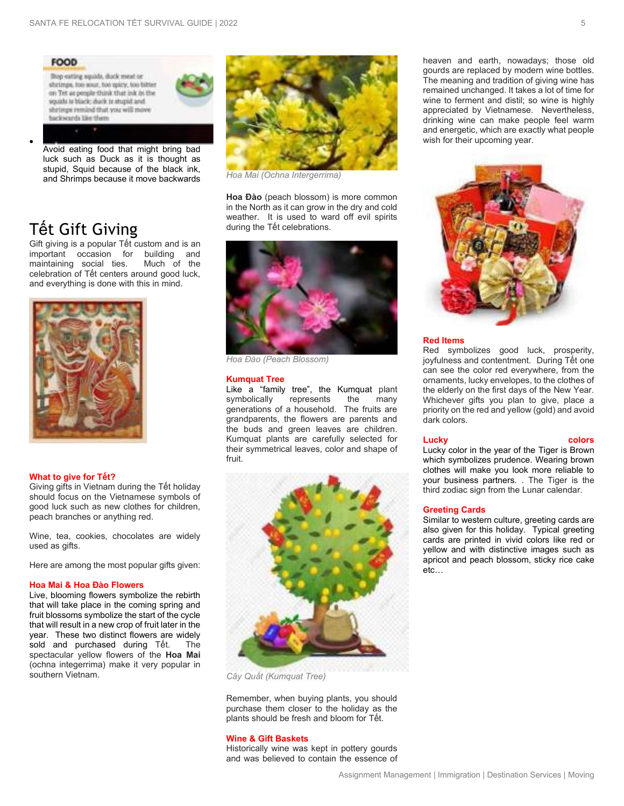

luck such as Duck as it is thought as stupid, Squid because of the black ink, and Shrimps because it move backwards

## Tết Gift Giving

•

Gift giving is a popular Tết custom and is an important occasion for building and<br>maintaining social ties. Much of the maintaining social ties. celebration of Tết centers around good luck, and everything is done with this in mind.



#### **What to give for Tết?**

Giving gifts in Vietnam during the Tết holiday should focus on the Vietnamese symbols of good luck such as new clothes for children, peach branches or anything red.

Wine, tea, cookies, chocolates are widely used as gifts.

Here are among the most popular gifts given:

#### **Hoa Mai & Hoa Đào Flowers**

Live, blooming flowers symbolize the rebirth that will take place in the coming spring and fruit blossoms symbolize the start of the cycle that will result in a new crop of fruit later in the year. These two distinct flowers are widely sold and purchased during Tết. The spectacular yellow flowers of the **Hoa Mai** (ochna integerrima) make it very popular in southern Vietnam.



*Hoa Mai (Ochna Intergerrima)* 

**Hoa Đào** (peach blossom) is more common in the North as it can grow in the dry and cold weather. It is used to ward off evil spirits during the Tết celebrations.



*Hoa Đào (Peach Blossom)* 

#### **Kumquat Tree**

Like a "family tree", the Kumquat plant<br>symbolically represents the many symbolically represents the many generations of a household. The fruits are grandparents, the flowers are parents and the buds and green leaves are children. Kumquat plants are carefully selected for their symmetrical leaves, color and shape of fruit.



*Cây Quất (Kumquat Tree)* 

Remember, when buying plants, you should purchase them closer to the holiday as the plants should be fresh and bloom for Tết.

#### **Wine & Gift Baskets**

Historically wine was kept in pottery gourds and was believed to contain the essence of heaven and earth, nowadays; those old gourds are replaced by modern wine bottles. The meaning and tradition of giving wine has remained unchanged. It takes a lot of time for wine to ferment and distil; so wine is highly appreciated by Vietnamese. Nevertheless, drinking wine can make people feel warm and energetic, which are exactly what people wish for their upcoming year.



#### **Red Items**

Red symbolizes good luck, prosperity, joyfulness and contentment. During Tết one can see the color red everywhere, from the ornaments, lucky envelopes, to the clothes of the elderly on the first days of the New Year. Whichever gifts you plan to give, place a priority on the red and yellow (gold) and avoid dark colors.

#### **Lucky colors**

Lucky color in the year of the Tiger is Brown which symbolizes prudence. Wearing brown clothes will make you look more reliable to your business partners. . The Tiger is the third zodiac sign from the Lunar calendar.

#### **Greeting Cards**

Similar to western culture, greeting cards are also given for this holiday. Typical greeting cards are printed in vivid colors like red or yellow and with distinctive images such as apricot and peach blossom, sticky rice cake etc…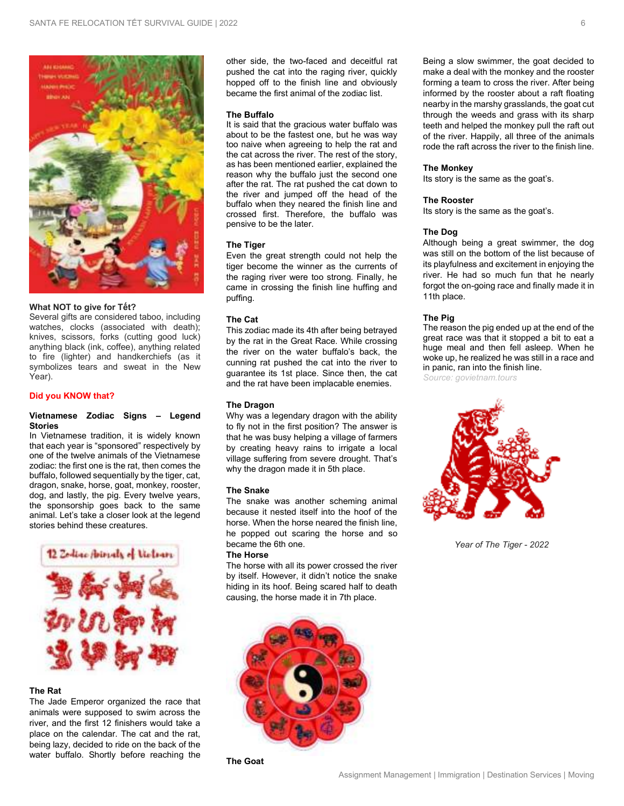

#### **What NOT to give for Tết?**

Several gifts are considered taboo, including watches, clocks (associated with death); knives, scissors, forks (cutting good luck) anything black (ink, coffee), anything related to fire (lighter) and handkerchiefs (as it symbolizes tears and sweat in the New Year).

#### **Did you KNOW that?**

#### **Vietnamese Zodiac Signs – Legend Stories**

In Vietnamese tradition, it is widely known that each year is "sponsored" respectively by one of the twelve animals of the Vietnamese zodiac: the first one is the rat, then comes the buffalo, followed sequentially by the tiger, cat, dragon, snake, horse, goat, monkey, rooster, dog, and lastly, the pig. Every twelve years, the sponsorship goes back to the same animal. Let's take a closer look at the legend stories behind these creatures.



#### **The Rat**

The Jade Emperor organized the race that animals were supposed to swim across the river, and the first 12 finishers would take a place on the calendar. The cat and the rat, being lazy, decided to ride on the back of the water buffalo. Shortly before reaching the

other side, the two-faced and deceitful rat pushed the cat into the raging river, quickly hopped off to the finish line and obviously became the first animal of the zodiac list.

#### **The Buffalo**

It is said that the gracious water buffalo was about to be the fastest one, but he was way too naive when agreeing to help the rat and the cat across the river. The rest of the story, as has been mentioned earlier, explained the reason why the buffalo just the second one after the rat. The rat pushed the cat down to the river and jumped off the head of the buffalo when they neared the finish line and crossed first. Therefore, the buffalo was pensive to be the later.

#### **The Tiger**

Even the great strength could not help the tiger become the winner as the currents of the raging river were too strong. Finally, he came in crossing the finish line huffing and puffing.

#### **The Cat**

This zodiac made its 4th after being betrayed by the rat in the Great Race. While crossing the river on the water buffalo's back, the cunning rat pushed the cat into the river to guarantee its 1st place. Since then, the cat and the rat have been implacable enemies.

#### **The Dragon**

Why was a legendary dragon with the ability to fly not in the first position? The answer is that he was busy helping a village of farmers by creating heavy rains to irrigate a local village suffering from severe drought. That's why the dragon made it in 5th place.

#### **The Snake**

The snake was another scheming animal because it nested itself into the hoof of the horse. When the horse neared the finish line, he popped out scaring the horse and so became the 6th one.

#### **The Horse**

The horse with all its power crossed the river by itself. However, it didn't notice the snake hiding in its hoof. Being scared half to death causing, the horse made it in 7th place.





Being a slow swimmer, the goat decided to make a deal with the monkey and the rooster forming a team to cross the river. After being informed by the rooster about a raft floating nearby in the marshy grasslands, the goat cut through the weeds and grass with its sharp teeth and helped the monkey pull the raft out of the river. Happily, all three of the animals rode the raft across the river to the finish line.

#### **The Monkey**

Its story is the same as the goat's.

#### **The Rooster**

Its story is the same as the goat's.

#### **The Dog**

Although being a great swimmer, the dog was still on the bottom of the list because of its playfulness and excitement in enjoying the river. He had so much fun that he nearly forgot the on-going race and finally made it in 11th place.

#### **The Pig**

The reason the pig ended up at the end of the great race was that it stopped a bit to eat a huge meal and then fell asleep. When he woke up, he realized he was still in a race and in panic, ran into the finish line.

*Source: govietnam.tours* 



 *Year of The Tiger - 2022*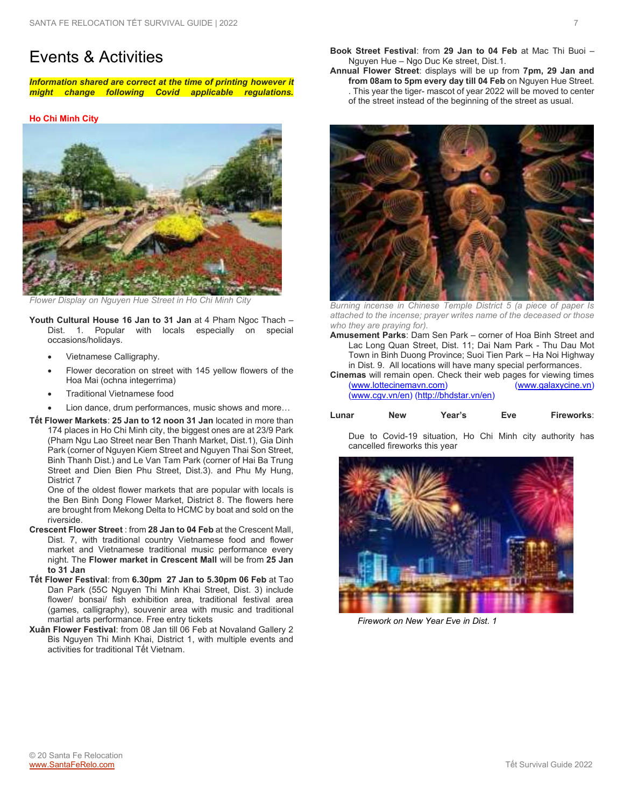## Events & Activities

*Information shared are correct at the time of printing however it might change following Covid applicable regulations.*

#### **Ho Chi Minh City**



*Flower Display on Nguyen Hue Street in Ho Chi Minh City* 

**Youth Cultural House 16 Jan to 31 Jan** at 4 Pham Ngoc Thach – Dist. 1. Popular with locals especially on special occasions/holidays.

- Vietnamese Calligraphy.
- Flower decoration on street with 145 yellow flowers of the Hoa Mai (ochna integerrima)
- Traditional Vietnamese food
- Lion dance, drum performances, music shows and more...
- **Tết Flower Markets**: **25 Jan to 12 noon 31 Jan** located in more than 174 places in Ho Chi Minh city, the biggest ones are at 23/9 Park (Pham Ngu Lao Street near Ben Thanh Market, Dist.1), Gia Dinh Park (corner of Nguyen Kiem Street and Nguyen Thai Son Street, Binh Thanh Dist.) and Le Van Tam Park (corner of Hai Ba Trung Street and Dien Bien Phu Street, Dist.3). and Phu My Hung, District 7

One of the oldest flower markets that are popular with locals is the Ben Binh Dong Flower Market, District 8. The flowers here are brought from Mekong Delta to HCMC by boat and sold on the riverside.

- **Crescent Flower Street** : from **28 Jan to 04 Feb** at the Crescent Mall, Dist. 7, with traditional country Vietnamese food and flower market and Vietnamese traditional music performance every night. The **Flower market in Crescent Mall** will be from **25 Jan to 31 Jan**
- **Tết Flower Festival**: from **6.30pm 27 Jan to 5.30pm 06 Feb** at Tao Dan Park (55C Nguyen Thi Minh Khai Street, Dist. 3) include flower/ bonsai/ fish exhibition area, traditional festival area (games, calligraphy), souvenir area with music and traditional martial arts performance. Free entry tickets
- **Xuân Flower Festival**: from 08 Jan till 06 Feb at Novaland Gallery 2 Bis Nguyen Thi Minh Khai, District 1, with multiple events and activities for traditional Tết Vietnam.

**Book Street Festival**: from **29 Jan to 04 Feb** at Mac Thi Buoi – Nguyen Hue – Ngo Duc Ke street, Dist.1.

**Annual Flower Street**: displays will be up from **7pm, 29 Jan and**  from 08am to 5pm every day till 04 Feb on Nguyen Hue Street. . This year the tiger- mascot of year 2022 will be moved to center of the street instead of the beginning of the street as usual.



*Burning incense in Chinese Temple District 5 (a piece of paper Is attached to the incense; prayer writes name of the deceased or those who they are praying for).*

- **Amusement Parks**: Dam Sen Park corner of Hoa Binh Street and Lac Long Quan Street, Dist. 11; Dai Nam Park - Thu Dau Mot Town in Binh Duong Province; Suoi Tien Park – Ha Noi Highway in Dist. 9. All locations will have many special performances.
- **Cinemas** will remain open. Check their web pages for viewing times (www.lottecinemavn.com) (www.galaxycine.vn) [\(www.lottecinemavn.com\)](http://www.lottecinemavn.com/) [\(www.cgv.vn/en\)](http://www.cgv.vn/en) [\(http://bhdstar.vn/en\)](http://bhdstar.vn/en)

| Fireworks:<br>Year's<br>Eve<br>New<br>Lunar |  |
|---------------------------------------------|--|
|---------------------------------------------|--|

Due to Covid-19 situation, Ho Chi Minh city authority has cancelled fireworks this year



*Firework on New Year Eve in Dist. 1*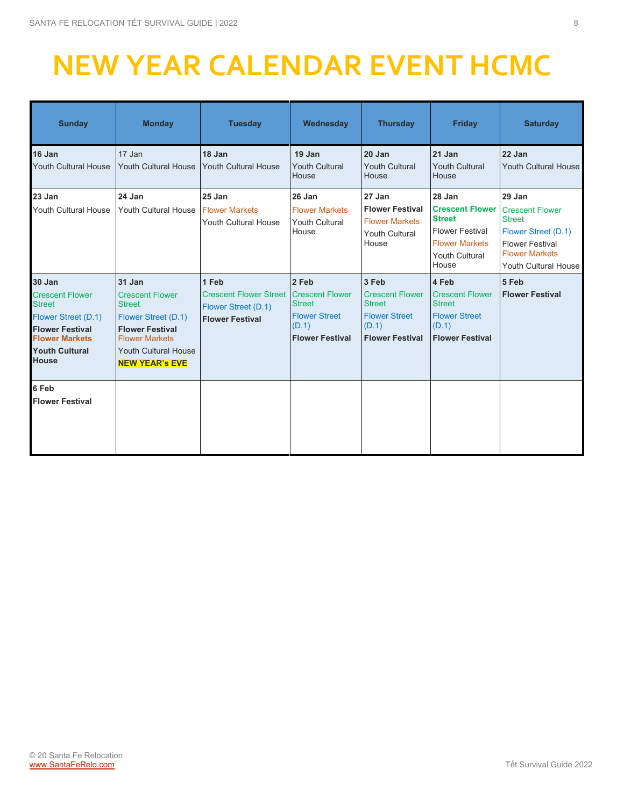## **NEW YEAR CALENDAR EVENT HCMC**

| <b>Sunday</b>                                                                                                                                                        | <b>Monday</b>                                                                                                                                                                       | <b>Tuesday</b>                                                                                            | Wednesday                                                                         | <b>Thursday</b>                                                                                             | <b>Friday</b>                                                                                                                          | <b>Saturday</b>                                                                                                                                     |
|----------------------------------------------------------------------------------------------------------------------------------------------------------------------|-------------------------------------------------------------------------------------------------------------------------------------------------------------------------------------|-----------------------------------------------------------------------------------------------------------|-----------------------------------------------------------------------------------|-------------------------------------------------------------------------------------------------------------|----------------------------------------------------------------------------------------------------------------------------------------|-----------------------------------------------------------------------------------------------------------------------------------------------------|
| 16 Jan<br><b>Youth Cultural House</b>                                                                                                                                | 17 Jan<br>Youth Cultural House                                                                                                                                                      | 18 Jan<br><b>Youth Cultural House</b>                                                                     | 19 Jan<br><b>Youth Cultural</b><br>House                                          | 20 Jan<br><b>Youth Cultural</b><br>House                                                                    | 21 Jan<br><b>Youth Cultural</b><br>House                                                                                               | 22 Jan<br><b>Youth Cultural House</b>                                                                                                               |
| 23 Jan<br><b>Youth Cultural House</b>                                                                                                                                | 24 Jan<br>Youth Cultural House                                                                                                                                                      | 25 Jan<br><b>Flower Markets</b><br>Youth Cultural House                                                   | 26 Jan<br><b>Flower Markets</b><br><b>Youth Cultural</b><br>House                 | 27 Jan<br><b>Flower Festival</b><br><b>Flower Markets</b><br><b>Youth Cultural</b><br>House                 | 28 Jan<br><b>Crescent Flower</b><br><b>Street</b><br><b>Flower Festival</b><br><b>Flower Markets</b><br><b>Youth Cultural</b><br>House | 29 Jan<br><b>Crescent Flower</b><br><b>Street</b><br>Flower Street (D.1)<br><b>Flower Festival</b><br><b>Flower Markets</b><br>Youth Cultural House |
| 30 Jan<br><b>Crescent Flower</b><br><b>Street</b><br>Flower Street (D.1)<br><b>Flower Festival</b><br><b>Flower Markets</b><br><b>Youth Cultural</b><br><b>House</b> | 31 Jan<br><b>Crescent Flower</b><br><b>Street</b><br>Flower Street (D.1)<br><b>Flower Festival</b><br><b>Flower Markets</b><br><b>Youth Cultural House</b><br><b>NEW YEAR'S EVE</b> | 1 Feb<br><b>Crescent Flower Street   Crescent Flower</b><br>Flower Street (D.1)<br><b>Flower Festival</b> | 2 Feb<br><b>Street</b><br><b>Flower Street</b><br>(D.1)<br><b>Flower Festival</b> | 3 Feb<br><b>Crescent Flower</b><br><b>Street</b><br><b>Flower Street</b><br>(D.1)<br><b>Flower Festival</b> | 4 Feb<br><b>Crescent Flower</b><br><b>Street</b><br><b>Flower Street</b><br>(D.1)<br><b>Flower Festival</b>                            | 5 Feb<br><b>Flower Festival</b>                                                                                                                     |
| 6 Feb<br><b>Flower Festival</b>                                                                                                                                      |                                                                                                                                                                                     |                                                                                                           |                                                                                   |                                                                                                             |                                                                                                                                        |                                                                                                                                                     |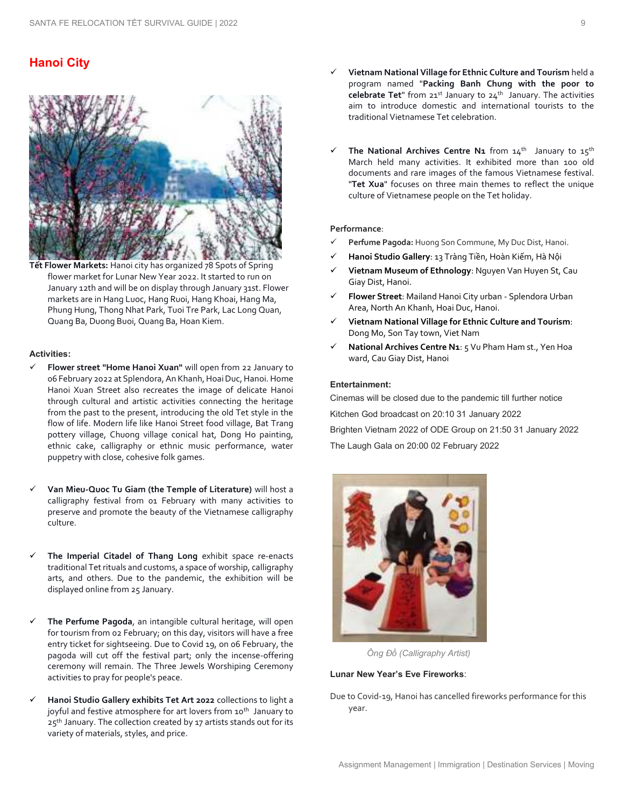### **Hanoi City**



**Tết Flower Markets:** Hanoi city has organized 78 Spots of Spring flower market for Lunar New Year 2022. It started to run on January 12th and will be on display through January 31st. Flower markets are in Hang Luoc, Hang Ruoi, Hang Khoai, Hang Ma, Phung Hung, Thong Nhat Park, Tuoi Tre Park, Lac Long Quan, Quang Ba, Duong Buoi, Quang Ba, Hoan Kiem.

#### **Activities:**

- ✓ **Flower street "Home Hanoi Xuan"** will open from 22 January to 06 February 2022 at Splendora, An Khanh, Hoai Duc, Hanoi. Home Hanoi Xuan Street also recreates the image of delicate Hanoi through cultural and artistic activities connecting the heritage from the past to the present, introducing the old Tet style in the flow of life. Modern life like Hanoi Street food village, Bat Trang pottery village, Chuong village conical hat, Dong Ho painting, ethnic cake, calligraphy or ethnic music performance, water puppetry with close, cohesive folk games.
- Van Mieu-Quoc Tu Giam (the Temple of Literature) will host a calligraphy festival from 01 February with many activities to preserve and promote the beauty of the Vietnamese calligraphy culture.
- The Imperial Citadel of Thang Long exhibit space re-enacts traditional Tet rituals and customs, a space of worship, calligraphy arts, and others. Due to the pandemic, the exhibition will be displayed online from 25 January.
- ✓ **The Perfume Pagoda**, an intangible cultural heritage, will open for tourism from 02 February; on this day, visitors will have a free entry ticket for sightseeing. Due to Covid 19, on 06 February, the pagoda will cut off the festival part; only the incense-offering ceremony will remain. The Three Jewels Worshiping Ceremony activities to pray for people's peace.
- Hanoi Studio Gallery exhibits Tet Art 2022 collections to light a joyful and festive atmosphere for art lovers from 10<sup>th</sup> January to  $25<sup>th</sup>$  January. The collection created by 17 artists stands out for its variety of materials, styles, and price.
- ✓ **Vietnam National Village for Ethnic Culture and Tourism** held a program named "**Packing Banh Chung with the poor to celebrate Tet**" from 21st January to 24th January. The activities aim to introduce domestic and international tourists to the traditional Vietnamese Tet celebration.
- The National Archives Centre N<sub>1</sub> from 14<sup>th</sup> January to 15<sup>th</sup> March held many activities. It exhibited more than 100 old documents and rare images of the famous Vietnamese festival. "**Tet Xua**" focuses on three main themes to reflect the unique culture of Vietnamese people on the Tet holiday.

#### **Performance**:

- Perfume Pagoda: Huong Son Commune, My Duc Dist, Hanoi.
- ✓ **Hanoi Studio Gallery**: 13 Tràng Tiền, Hoàn Kiếm, Hà Nội
- ✓ **Vietnam Museum of Ethnology**: Nguyen Van Huyen St, Cau Giay Dist, Hanoi.
- ✓ **Flower Street**: Mailand Hanoi City urban Splendora Urban Area, North An Khanh, Hoai Duc, Hanoi.
- ✓ **Vietnam National Village for Ethnic Culture and Tourism**: Dong Mo, Son Tay town, Viet Nam
- **National Archives Centre N1**: 5 Vu Pham Ham st., Yen Hoa ward, Cau Giay Dist, Hanoi

#### **Entertainment:**

Cinemas will be closed due to the pandemic till further notice Kitchen God broadcast on 20:10 31 January 2022 Brighten Vietnam 2022 of ODE Group on 21:50 31 January 2022 The Laugh Gala on 20:00 02 February 2022



*Ông Đồ (Calligraphy Artist)* 

#### **Lunar New Year's Eve Fireworks**:

Due to Covid-19, Hanoi has cancelled fireworks performance for this year.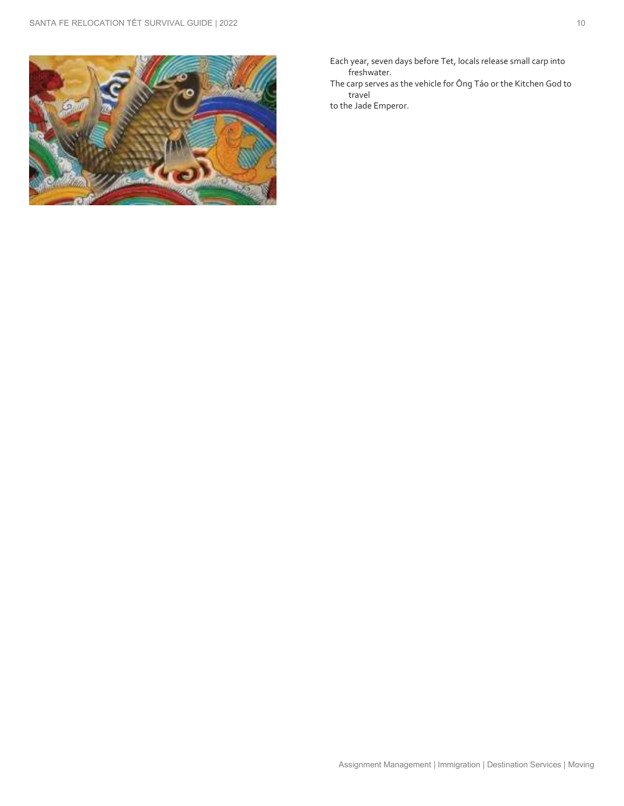

- Each year, seven days before Tet, locals release small carp into freshwater.
- The carp serves as the vehicle for Ông Táo or the Kitchen God to travel
- to the Jade Emperor.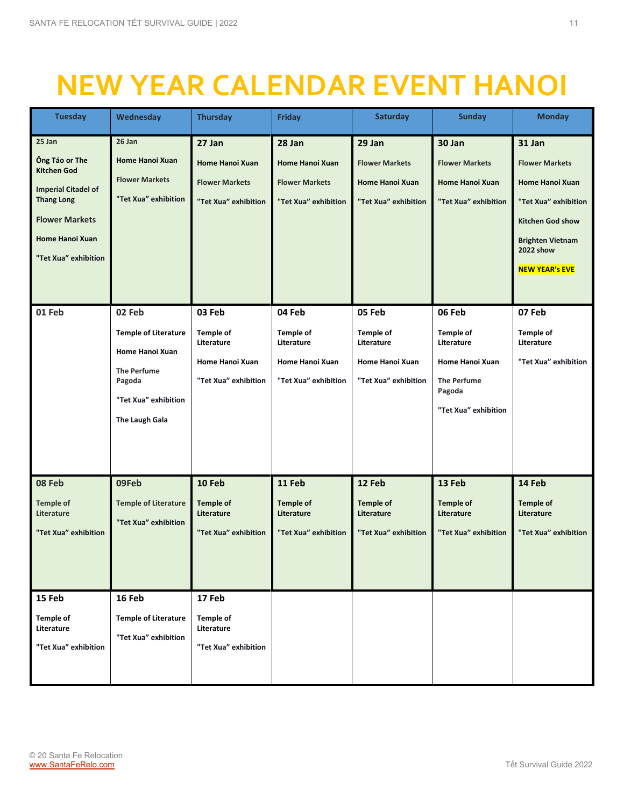## **NEW YEAR CALENDAR EVENT HANOI**

| <b>Tuesday</b>                                                                                                                                                        | Wednesday                                                                                                                          | <b>Thursday</b>                                                                     | <b>Friday</b>                                                                       | <b>Saturday</b>                                                                     | <b>Sunday</b>                                                                                                       | <b>Monday</b>                                                                                                                                                                 |
|-----------------------------------------------------------------------------------------------------------------------------------------------------------------------|------------------------------------------------------------------------------------------------------------------------------------|-------------------------------------------------------------------------------------|-------------------------------------------------------------------------------------|-------------------------------------------------------------------------------------|---------------------------------------------------------------------------------------------------------------------|-------------------------------------------------------------------------------------------------------------------------------------------------------------------------------|
| 25 Jan<br>Ông Táo or The<br><b>Kitchen God</b><br><b>Imperial Citadel of</b><br><b>Thang Long</b><br><b>Flower Markets</b><br>Home Hanoi Xuan<br>"Tet Xua" exhibition | 26 Jan<br><b>Home Hanoi Xuan</b><br><b>Flower Markets</b><br>"Tet Xua" exhibition                                                  | 27 Jan<br><b>Home Hanoi Xuan</b><br><b>Flower Markets</b><br>"Tet Xua" exhibition   | 28 Jan<br>Home Hanoi Xuan<br><b>Flower Markets</b><br>"Tet Xua" exhibition          | 29 Jan<br><b>Flower Markets</b><br>Home Hanoi Xuan<br>"Tet Xua" exhibition          | 30 Jan<br><b>Flower Markets</b><br>Home Hanoi Xuan<br>"Tet Xua" exhibition                                          | 31 Jan<br><b>Flower Markets</b><br>Home Hanoi Xuan<br>"Tet Xua" exhibition<br><b>Kitchen God show</b><br><b>Brighten Vietnam</b><br><b>2022 show</b><br><b>NEW YEAR'S EVE</b> |
| 01 Feb                                                                                                                                                                | 02 Feb<br><b>Temple of Literature</b><br>Home Hanoi Xuan<br><b>The Perfume</b><br>Pagoda<br>"Tet Xua" exhibition<br>The Laugh Gala | 03 Feb<br><b>Temple of</b><br>Literature<br>Home Hanoi Xuan<br>"Tet Xua" exhibition | 04 Feb<br><b>Temple of</b><br>Literature<br>Home Hanoi Xuan<br>"Tet Xua" exhibition | 05 Feb<br><b>Temple of</b><br>Literature<br>Home Hanoi Xuan<br>"Tet Xua" exhibition | 06 Feb<br>Temple of<br>Literature<br><b>Home Hanoi Xuan</b><br><b>The Perfume</b><br>Pagoda<br>"Tet Xua" exhibition | 07 Feb<br><b>Temple of</b><br>Literature<br>"Tet Xua" exhibition                                                                                                              |
| 08 Feb<br><b>Temple of</b><br>Literature<br>"Tet Xua" exhibition<br>15 Feb                                                                                            | 09Feb<br><b>Temple of Literature</b><br>"Tet Xua" exhibition<br>16 Feb                                                             | 10 Feb<br><b>Temple of</b><br>Literature<br>"Tet Xua" exhibition<br>17 Feb          | 11 Feb<br><b>Temple of</b><br>Literature<br>"Tet Xua" exhibition                    | 12 Feb<br><b>Temple of</b><br>Literature<br>"Tet Xua" exhibition                    | 13 Feb<br><b>Temple of</b><br>Literature<br>"Tet Xua" exhibition                                                    | 14 Feb<br><b>Temple of</b><br>Literature<br>"Tet Xua" exhibition                                                                                                              |
| <b>Temple of</b><br>Literature<br>"Tet Xua" exhibition                                                                                                                | <b>Temple of Literature</b><br>"Tet Xua" exhibition                                                                                | <b>Temple of</b><br>Literature<br>"Tet Xua" exhibition                              |                                                                                     |                                                                                     |                                                                                                                     |                                                                                                                                                                               |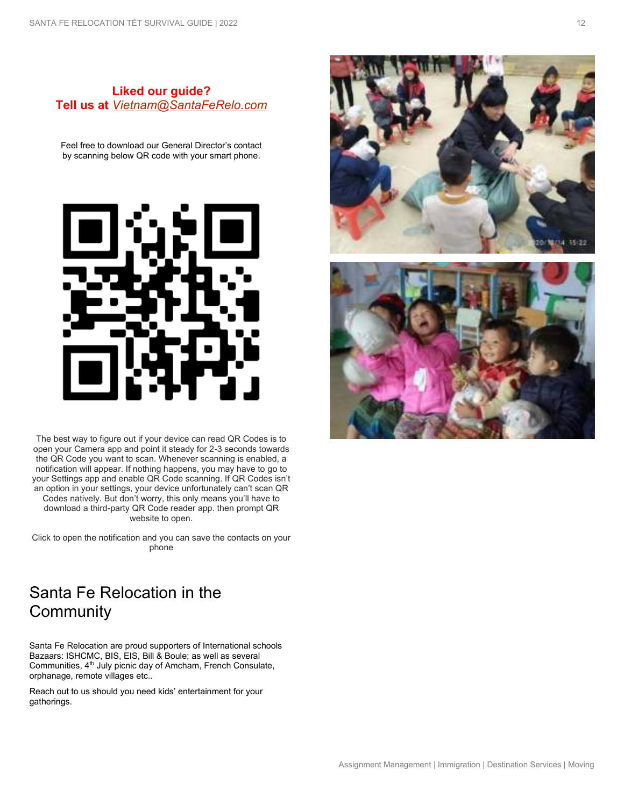### **Liked our guide? Tell us at** *[Vietnam@SantaFeRelo.com](mailto:Vietnam@SantaFeRelo.com)*

Feel free to download our General Director's contact by scanning below QR code with your smart phone.



The best way to figure out if your device can read QR Codes is to open your Camera app and point it steady for 2-3 seconds towards the QR Code you want to scan. Whenever scanning is enabled, a notification will appear. If nothing happens, you may have to go to your Settings app and enable QR Code scanning. If QR Codes isn't an option in your settings, your device unfortunately can't scan QR Codes natively. But don't worry, this only means you'll have to download a third-party QR Code reader app. then prompt QR website to open.

Click to open the notification and you can save the contacts on your phone

## Santa Fe Relocation in the **Community**

Santa Fe Relocation are proud supporters of International schools Bazaars: ISHCMC, BIS, EIS, Bill & Boule; as well as several Communities, 4<sup>th</sup> July picnic day of Amcham, French Consulate, orphanage, remote villages etc..

Reach out to us should you need kids' entertainment for your gatherings.

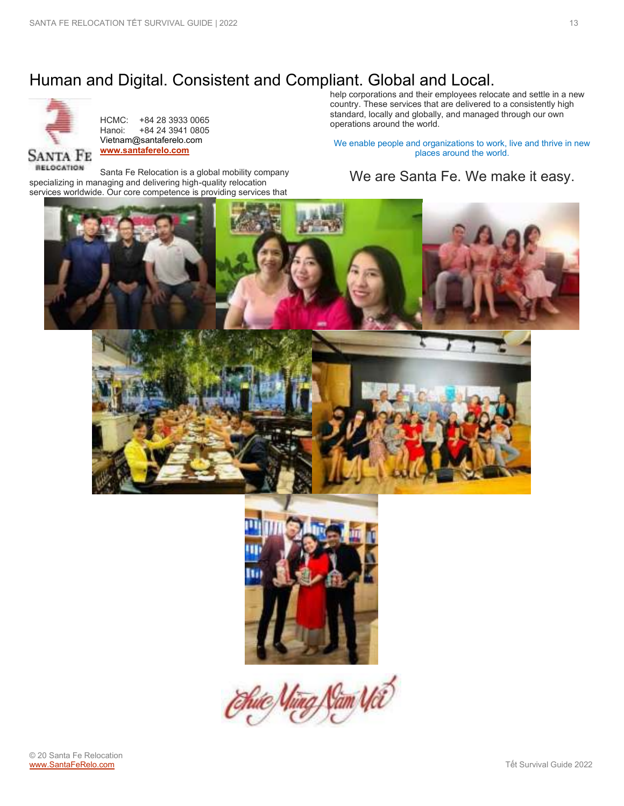## Human and Digital. Consistent and Compliant. Global and Local.



HCMC: +84 28 3933 0065<br>Hanoi: +84 24 3941 0805 +84 24 3941 0805 Vietnam@santaferelo.com **[www.santaferelo.com](http://www.santaferelo.com/)**

Santa Fe Relocation is a global mobility company specializing in managing and delivering high-quality relocation services worldwide. Our core competence is providing services that

help corporations and their employees relocate and settle in a new country. These services that are delivered to a consistently high standard, locally and globally, and managed through our own operations around the world.

We enable people and organizations to work, live and thrive in new places around the world.

## We are Santa Fe. We make it easy.

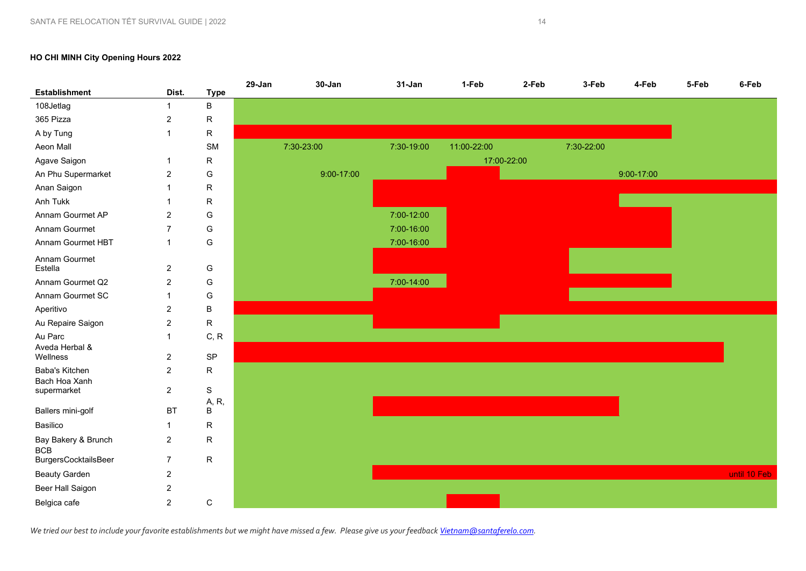#### **HO CHI MINH City Opening Hours 2022**



*We tried our best to include your favorite establishments but we might have missed a few. Please give us your feedbac[k Vietnam@santaferelo.com.](mailto:Vietnam@santaferelo.com)*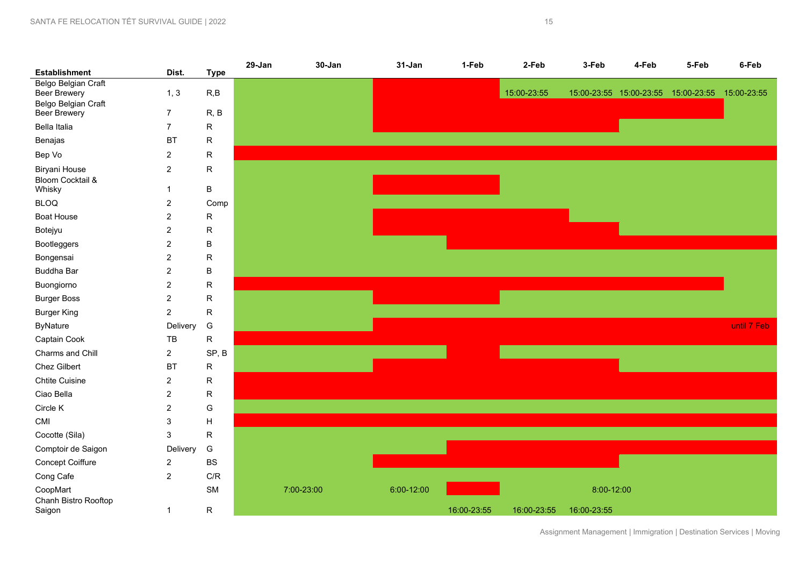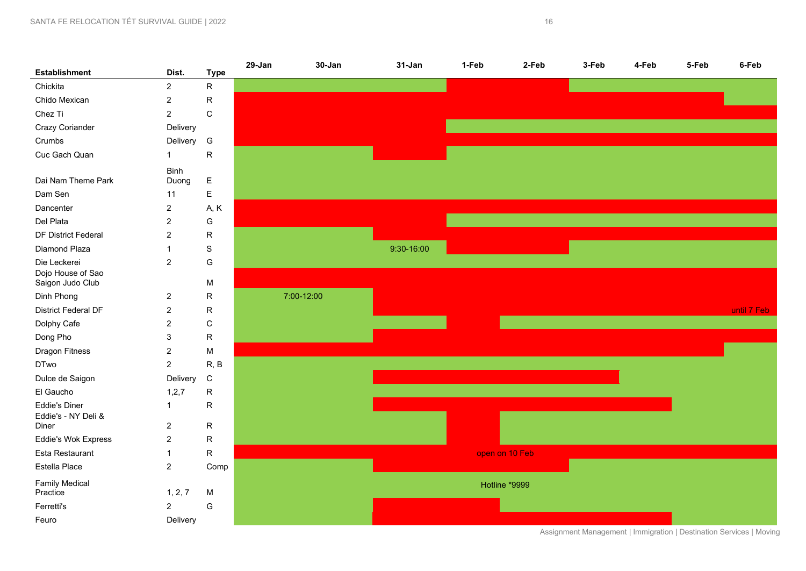

Assignment Management | Immigration | Destination Services | Moving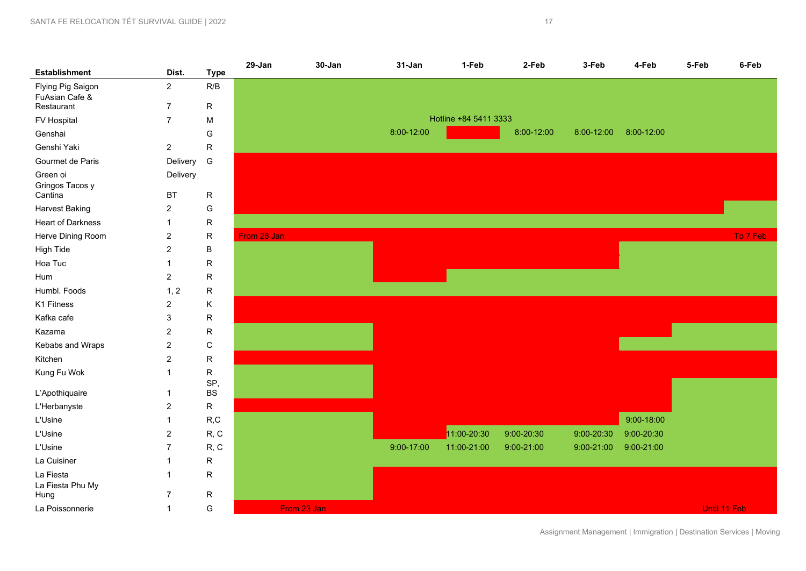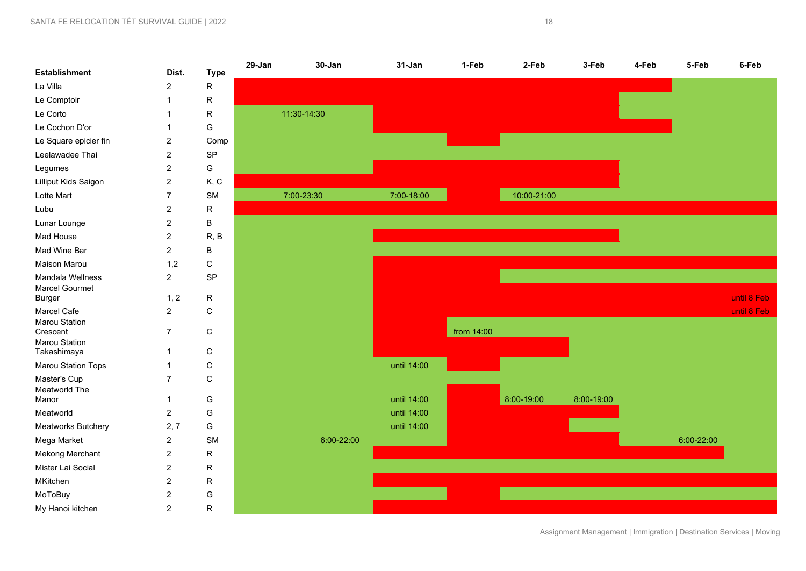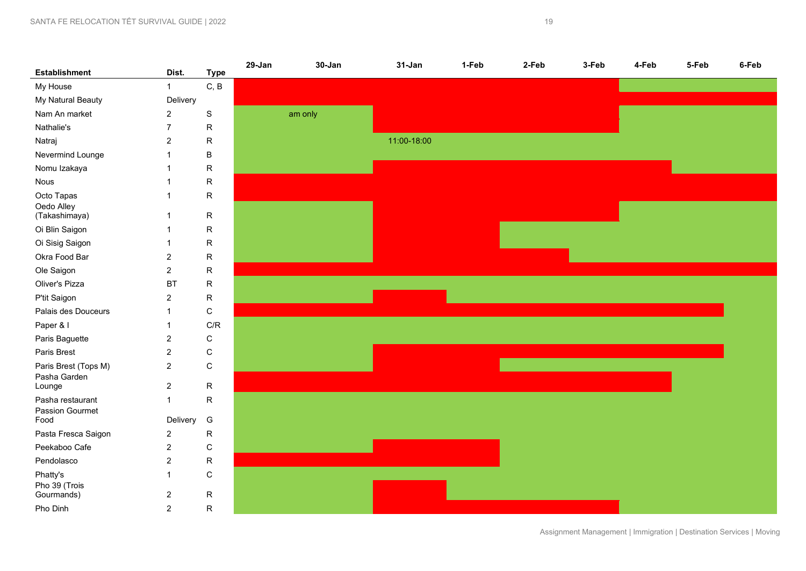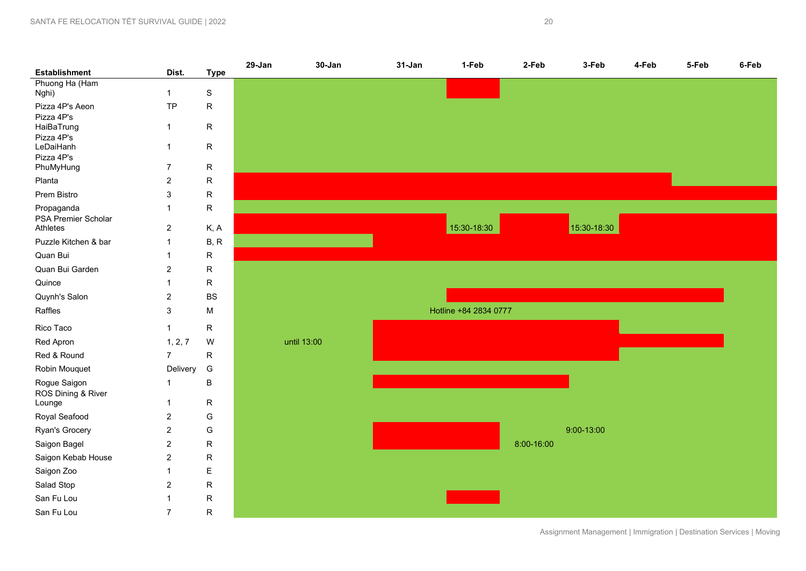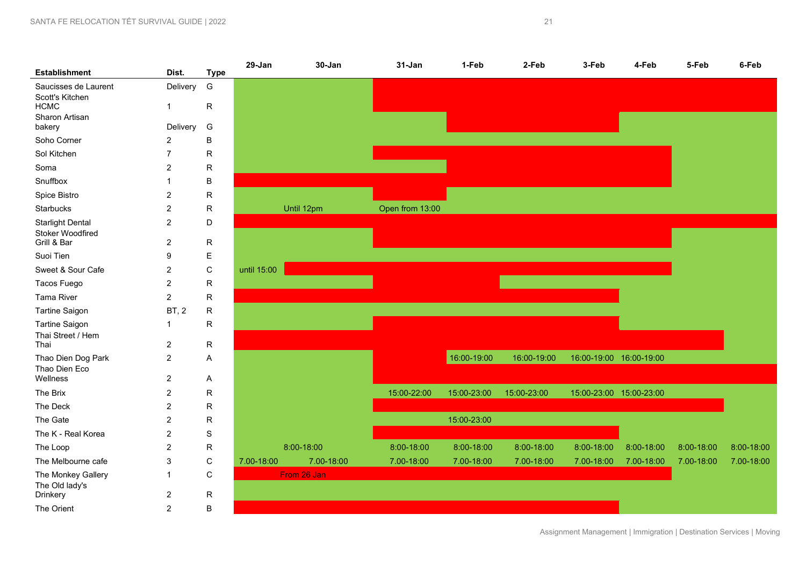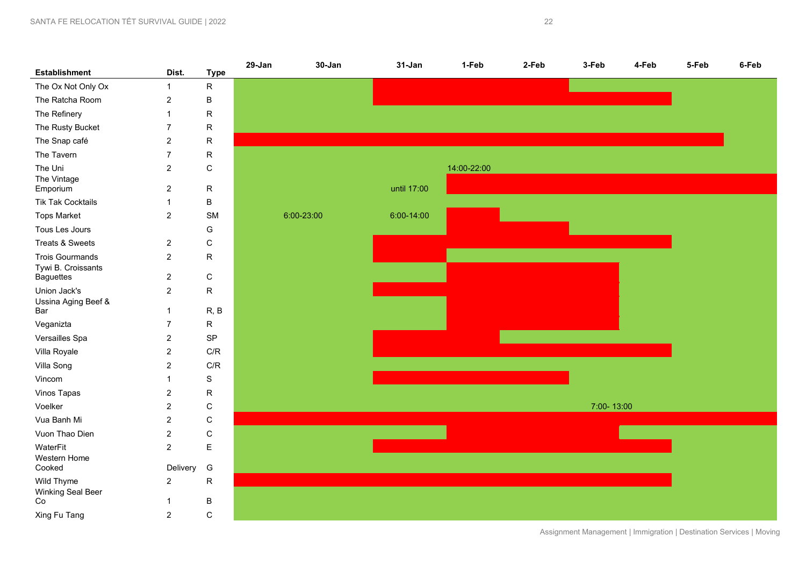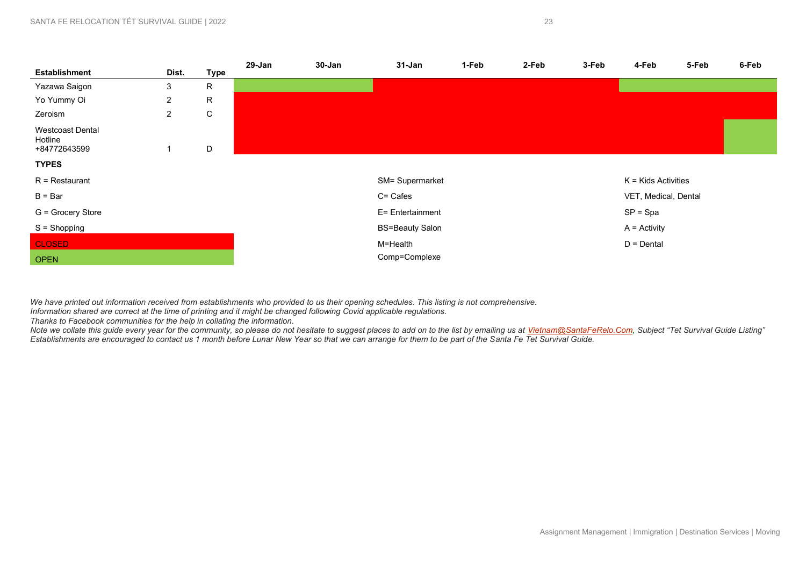|                                                    |                |              | 29-Jan | 30-Jan | 31-Jan                 | 1-Feb | 2-Feb | 3-Feb | 4-Feb                 | 5-Feb | 6-Feb |
|----------------------------------------------------|----------------|--------------|--------|--------|------------------------|-------|-------|-------|-----------------------|-------|-------|
| <b>Establishment</b>                               | Dist.          | <b>Type</b>  |        |        |                        |       |       |       |                       |       |       |
| Yazawa Saigon                                      | 3              | R            |        |        |                        |       |       |       |                       |       |       |
| Yo Yummy Oi                                        | $\overline{2}$ | R            |        |        |                        |       |       |       |                       |       |       |
| Zeroism                                            | $\overline{2}$ | $\mathsf{C}$ |        |        |                        |       |       |       |                       |       |       |
| <b>Westcoast Dental</b><br>Hotline<br>+84772643599 |                | D            |        |        |                        |       |       |       |                       |       |       |
| <b>TYPES</b>                                       |                |              |        |        |                        |       |       |       |                       |       |       |
| $R =$ Restaurant                                   |                |              |        |        | SM= Supermarket        |       |       |       | $K =$ Kids Activities |       |       |
| $B = Bar$                                          |                |              |        |        | C= Cafes               |       |       |       | VET, Medical, Dental  |       |       |
| G = Grocery Store                                  |                |              |        |        | E= Entertainment       |       |       |       | $SP = Spa$            |       |       |
| $S =$ Shopping                                     |                |              |        |        | <b>BS=Beauty Salon</b> |       |       |       | $A =$ Activity        |       |       |
| <b>CLOSED</b>                                      |                |              |        |        | M=Health               |       |       |       | $D = D$ ental         |       |       |
| <b>OPEN</b>                                        |                |              |        |        | Comp=Complexe          |       |       |       |                       |       |       |

*We have printed out information received from establishments who provided to us their opening schedules. This listing is not comprehensive.* 

*Information shared are correct at the time of printing and it might be changed following Covid applicable regulations.* 

*Thanks to Facebook communities for the help in collating the information.* 

*Note we collate this guide every year for the community, so please do not hesitate to suggest places to add on to the list by emailing us at [Vietnam@SantaFeRelo.Com](mailto:Vietnam@SantaFeRelo.Com), Subject "Tet Survival Guide Listing" Establishments are encouraged to contact us 1 month before Lunar New Year so that we can arrange for them to be part of the Santa Fe Tet Survival Guide.*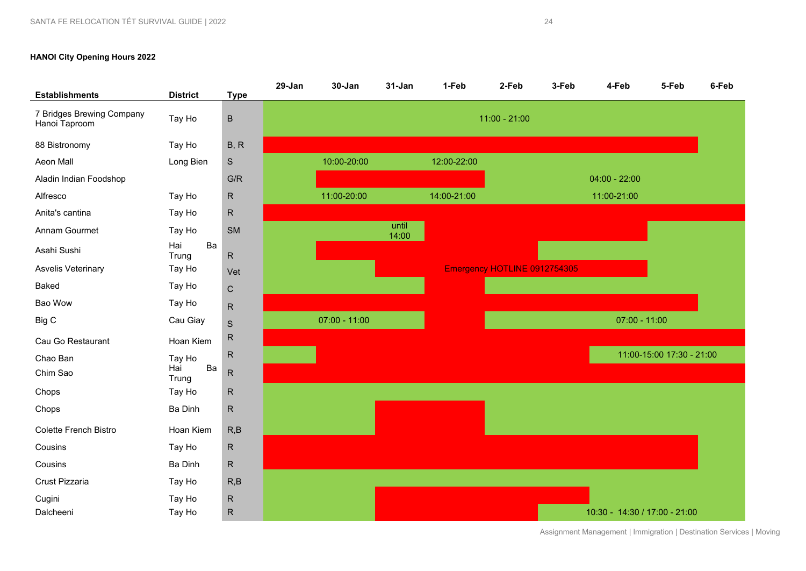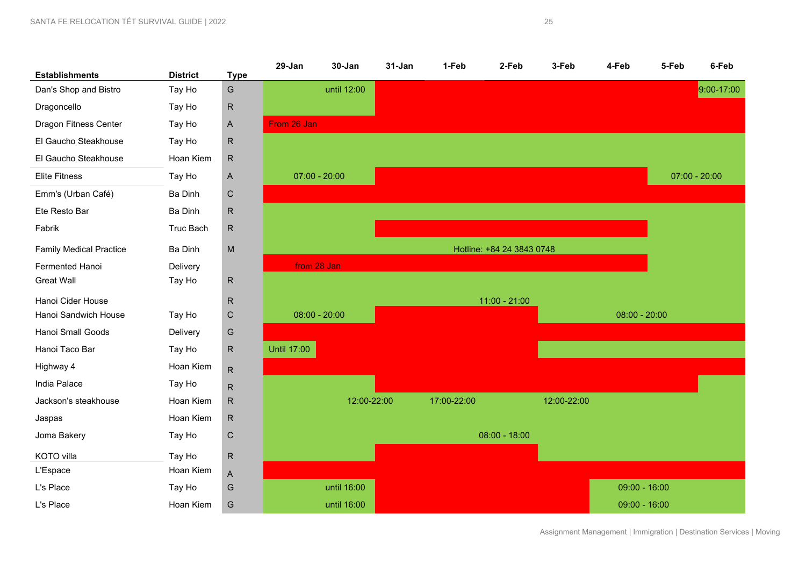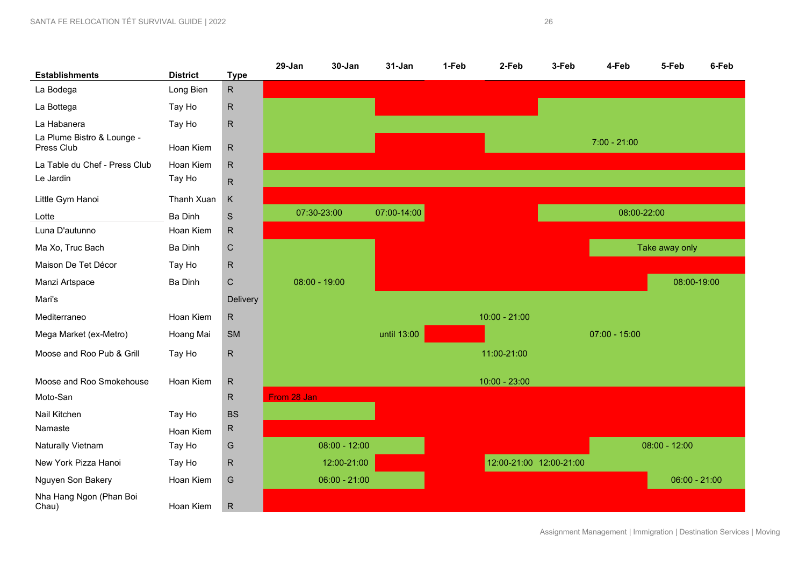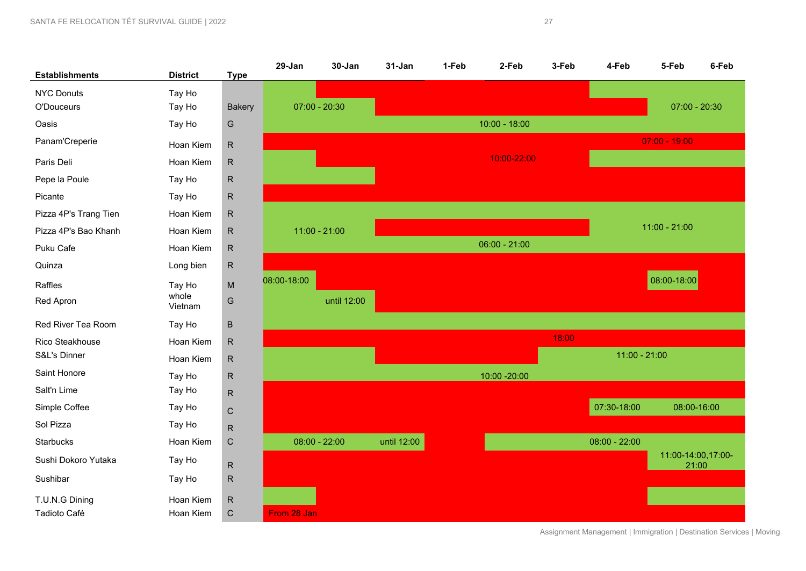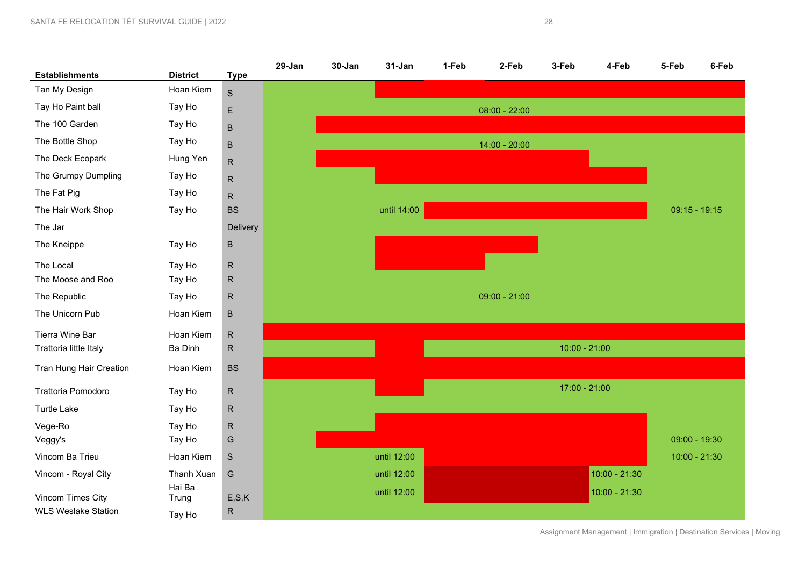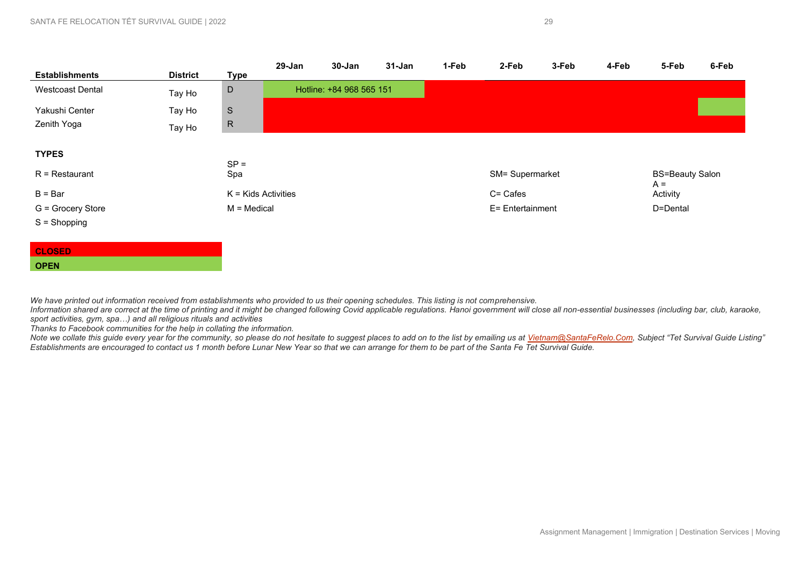| <b>Establishments</b>   | <b>District</b> | <b>Type</b>           | 29-Jan | 30-Jan                   | 31-Jan | 1-Feb | 2-Feb            | 3-Feb | 4-Feb | 5-Feb                           | 6-Feb |
|-------------------------|-----------------|-----------------------|--------|--------------------------|--------|-------|------------------|-------|-------|---------------------------------|-------|
| <b>Westcoast Dental</b> | Tay Ho          | $\mathsf D$           |        | Hotline: +84 968 565 151 |        |       |                  |       |       |                                 |       |
| Yakushi Center          | Tay Ho          | ${\mathsf S}$         |        |                          |        |       |                  |       |       |                                 |       |
| Zenith Yoga             | Tay Ho          | $\mathsf{R}$          |        |                          |        |       |                  |       |       |                                 |       |
| <b>TYPES</b>            |                 | $SP =$                |        |                          |        |       |                  |       |       |                                 |       |
| $R =$ Restaurant        |                 | Spa                   |        |                          |        |       | SM= Supermarket  |       |       | <b>BS=Beauty Salon</b><br>$A =$ |       |
| $B = Bar$               |                 | $K =$ Kids Activities |        |                          |        |       | C= Cafes         |       |       | Activity                        |       |
| G = Grocery Store       |                 | M = Medical           |        |                          |        |       | E= Entertainment |       |       | D=Dental                        |       |
| $S =$ Shopping          |                 |                       |        |                          |        |       |                  |       |       |                                 |       |
|                         |                 |                       |        |                          |        |       |                  |       |       |                                 |       |
| <b>CLOSED</b>           |                 |                       |        |                          |        |       |                  |       |       |                                 |       |

We have printed out information received from establishments who provided to us their opening schedules. This listing is not comprehensive.

Information shared are correct at the time of printing and it might be changed following Covid applicable regulations. Hanoi government will close all non-essential businesses (including bar, club, karaoke, *sport activities, gym, spa…) and all religious rituals and activities* 

*Thanks to Facebook communities for the help in collating the information.* 

**OPEN** 

Note we collate this guide every year for the community, so please do not hesitate to suggest places to add on to the list by emailing us at <u>Vietnam@SantaFeRelo.Com</u>, Subject "Tet Survival Guide Listing' *Establishments are encouraged to contact us 1 month before Lunar New Year so that we can arrange for them to be part of the Santa Fe Tet Survival Guide.*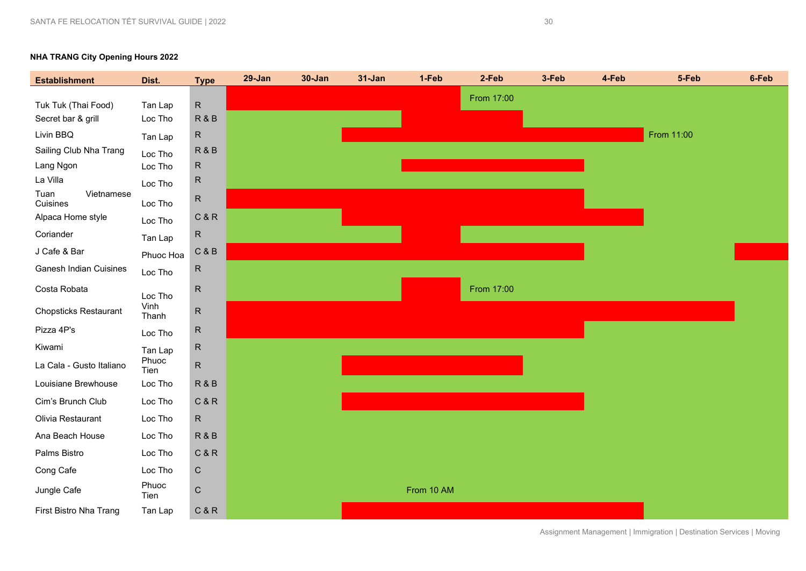# **NHA TRANG City Opening Hours 2022 Establishment Dist. Type 29-Jan 30-Jan 31-Jan 1-Feb 2-Feb 3-Feb 4-Feb 5-Feb 6-Feb**  From 17:00



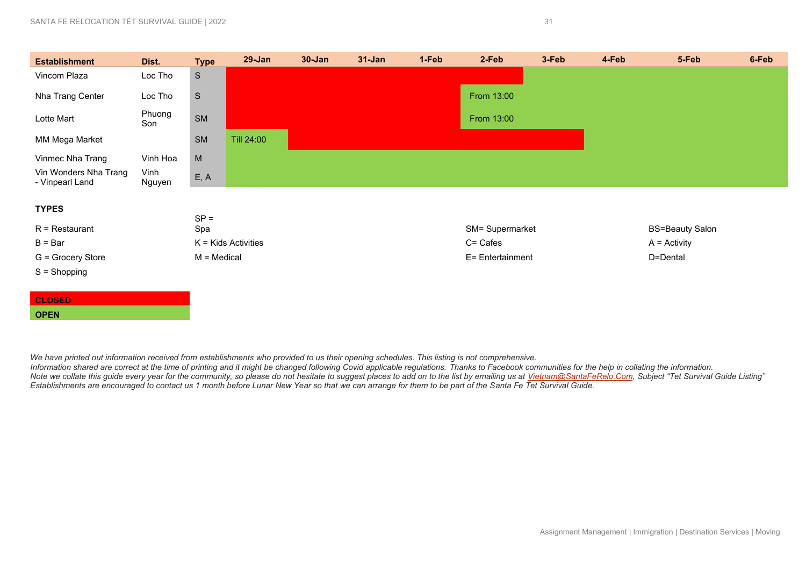| <b>Establishment</b>                     | Dist.          | <b>Type</b>   | $29 - Jan$            | $30 - Jan$ | $31 - Jan$ | 1-Feb | 2-Feb            | 3-Feb | 4-Feb | 5-Feb                  | 6-Feb |
|------------------------------------------|----------------|---------------|-----------------------|------------|------------|-------|------------------|-------|-------|------------------------|-------|
| Vincom Plaza                             | Loc Tho        | S             |                       |            |            |       |                  |       |       |                        |       |
| Nha Trang Center                         | Loc Tho        | $\mathsf S$   |                       |            |            |       | From 13:00       |       |       |                        |       |
| Lotte Mart                               | Phuong<br>Son  | <b>SM</b>     |                       |            |            |       | From 13:00       |       |       |                        |       |
| MM Mega Market                           |                | <b>SM</b>     | Till 24:00            |            |            |       |                  |       |       |                        |       |
| Vinmec Nha Trang                         | Vinh Hoa       | ${\sf M}$     |                       |            |            |       |                  |       |       |                        |       |
| Vin Wonders Nha Trang<br>- Vinpearl Land | Vinh<br>Nguyen | E, A          |                       |            |            |       |                  |       |       |                        |       |
| <b>TYPES</b>                             |                |               |                       |            |            |       |                  |       |       |                        |       |
|                                          |                | $SP =$        |                       |            |            |       |                  |       |       |                        |       |
| $R =$ Restaurant                         |                | Spa           |                       |            |            |       | SM= Supermarket  |       |       | <b>BS=Beauty Salon</b> |       |
| $B = Bar$                                |                |               | $K =$ Kids Activities |            |            |       | C= Cafes         |       |       | $A =$ Activity         |       |
| G = Grocery Store                        |                | $M = Medical$ |                       |            |            |       | E= Entertainment |       |       | D=Dental               |       |
| $S =$ Shopping                           |                |               |                       |            |            |       |                  |       |       |                        |       |
|                                          |                |               |                       |            |            |       |                  |       |       |                        |       |
| <b>CLOSED</b>                            |                |               |                       |            |            |       |                  |       |       |                        |       |
| <b>OPEN</b>                              |                |               |                       |            |            |       |                  |       |       |                        |       |

We have printed out information received from establishments who provided to us their opening schedules. This listing is not comprehensive.

*Information shared are correct at the time of printing and it might be changed following Covid applicable regulations. Thanks to Facebook communities for the help in collating the information.*  Note we collate this guide every year for the community, so please do not hesitate to suggest places to add on to the list by emailing us at <u>Vietnam@SantaFeRelo.Com</u>, Subject "Tet Survival Guide Listing' *Establishments are encouraged to contact us 1 month before Lunar New Year so that we can arrange for them to be part of the Santa Fe Tet Survival Guide.*